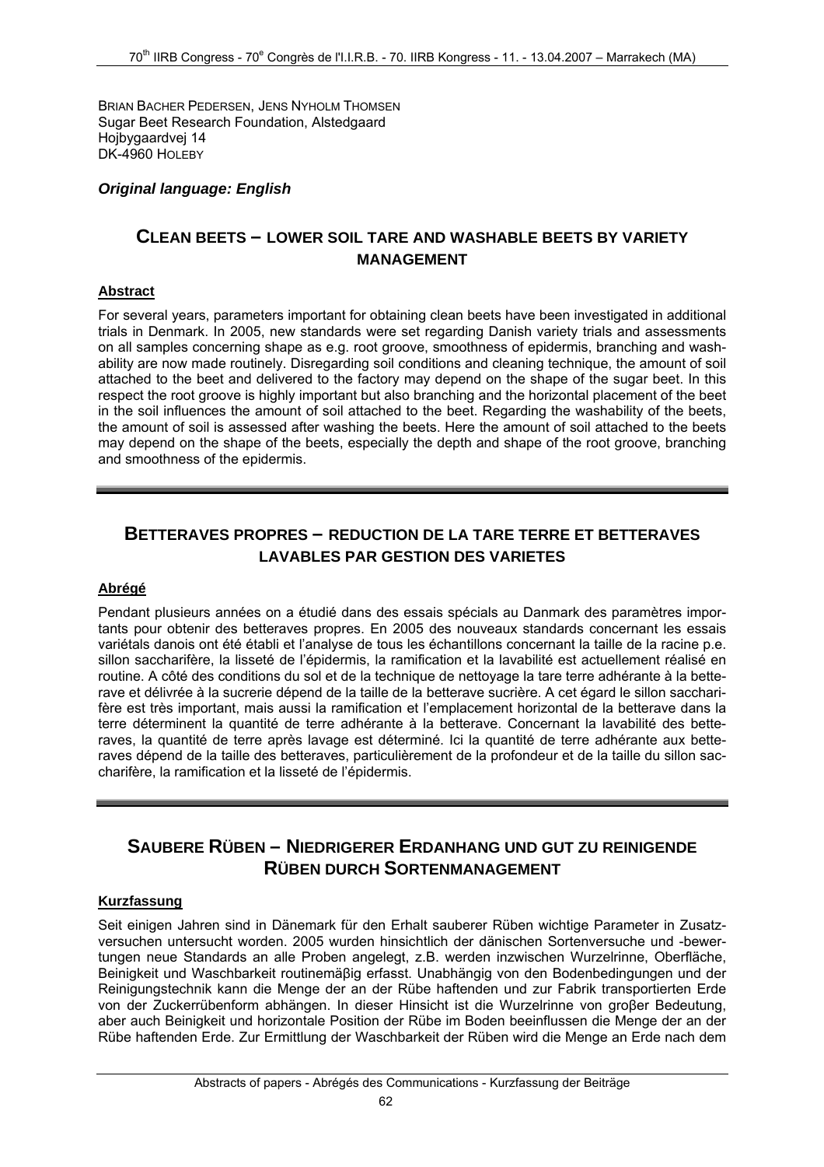BRIAN BACHER PEDERSEN, JENS NYHOLM THOMSEN Sugar Beet Research Foundation, Alstedgaard Hojbygaardvej 14 DK-4960 HOLEBY

### *Original language: English*

### **CLEAN BEETS – LOWER SOIL TARE AND WASHABLE BEETS BY VARIETY MANAGEMENT**

#### **Abstract**

For several years, parameters important for obtaining clean beets have been investigated in additional trials in Denmark. In 2005, new standards were set regarding Danish variety trials and assessments on all samples concerning shape as e.g. root groove, smoothness of epidermis, branching and washability are now made routinely. Disregarding soil conditions and cleaning technique, the amount of soil attached to the beet and delivered to the factory may depend on the shape of the sugar beet. In this respect the root groove is highly important but also branching and the horizontal placement of the beet in the soil influences the amount of soil attached to the beet. Regarding the washability of the beets, the amount of soil is assessed after washing the beets. Here the amount of soil attached to the beets may depend on the shape of the beets, especially the depth and shape of the root groove, branching and smoothness of the epidermis.

# **BETTERAVES PROPRES – REDUCTION DE LA TARE TERRE ET BETTERAVES LAVABLES PAR GESTION DES VARIETES**

#### **Abrégé**

Pendant plusieurs années on a étudié dans des essais spécials au Danmark des paramètres importants pour obtenir des betteraves propres. En 2005 des nouveaux standards concernant les essais variétals danois ont été établi et l'analyse de tous les échantillons concernant la taille de la racine p.e. sillon saccharifère, la lisseté de l'épidermis, la ramification et la lavabilité est actuellement réalisé en routine. A côté des conditions du sol et de la technique de nettoyage la tare terre adhérante à la betterave et délivrée à la sucrerie dépend de la taille de la betterave sucrière. A cet égard le sillon saccharifère est très important, mais aussi la ramification et l'emplacement horizontal de la betterave dans la terre déterminent la quantité de terre adhérante à la betterave. Concernant la lavabilité des betteraves, la quantité de terre après lavage est déterminé. Ici la quantité de terre adhérante aux betteraves dépend de la taille des betteraves, particulièrement de la profondeur et de la taille du sillon saccharifère, la ramification et la lisseté de l'épidermis.

# **SAUBERE RÜBEN – NIEDRIGERER ERDANHANG UND GUT ZU REINIGENDE RÜBEN DURCH SORTENMANAGEMENT**

#### **Kurzfassung**

Seit einigen Jahren sind in Dänemark für den Erhalt sauberer Rüben wichtige Parameter in Zusatzversuchen untersucht worden. 2005 wurden hinsichtlich der dänischen Sortenversuche und -bewertungen neue Standards an alle Proben angelegt, z.B. werden inzwischen Wurzelrinne, Oberfläche, Beinigkeit und Waschbarkeit routinemäβig erfasst. Unabhängig von den Bodenbedingungen und der Reinigungstechnik kann die Menge der an der Rübe haftenden und zur Fabrik transportierten Erde von der Zuckerrübenform abhängen. In dieser Hinsicht ist die Wurzelrinne von groβer Bedeutung, aber auch Beinigkeit und horizontale Position der Rübe im Boden beeinflussen die Menge der an der Rübe haftenden Erde. Zur Ermittlung der Waschbarkeit der Rüben wird die Menge an Erde nach dem